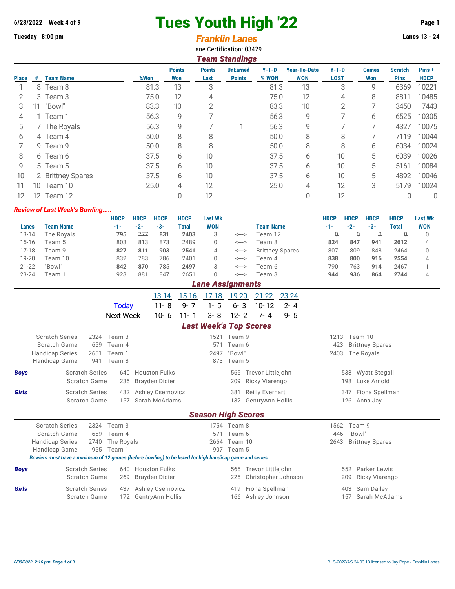## **6/28/2022 Week 4 of 9** Tues Youth High '22 **Page 1**

## **Tuesday 8:00 pm Lanes 13 - 24** *Franklin Lanes*

Lane Certification: 03429

|              | <b>Team Standings</b> |                   |      |                      |                       |                                  |                  |                                   |                        |                     |                               |                      |  |  |
|--------------|-----------------------|-------------------|------|----------------------|-----------------------|----------------------------------|------------------|-----------------------------------|------------------------|---------------------|-------------------------------|----------------------|--|--|
| <b>Place</b> | #                     | <b>Team Name</b>  | %Won | <b>Points</b><br>Won | <b>Points</b><br>Lost | <b>UnEarned</b><br><b>Points</b> | $Y-T-D$<br>% WON | <b>Year-To-Date</b><br><b>WON</b> | $Y-T-D$<br><b>LOST</b> | <b>Games</b><br>Won | <b>Scratch</b><br><b>Pins</b> | Pins+<br><b>HDCP</b> |  |  |
|              |                       | 8 Team 8          | 81.3 | 13                   | 3                     |                                  | 81.3             | 13                                | 3                      | 9                   | 6369                          | 10221                |  |  |
| 2            |                       | 3 Team 3          | 75.0 | 12                   | 4                     |                                  | 75.0             | 12                                | 4                      | 8                   | 8811                          | 10485                |  |  |
| 3            | 11                    | "Bowl"            | 83.3 | 10                   | 2                     |                                  | 83.3             | 10                                | 2                      |                     | 3450                          | 7443                 |  |  |
| 4            |                       | 1 Team 1          | 56.3 | 9                    |                       |                                  | 56.3             | 9                                 |                        | 6                   | 6525                          | 10305                |  |  |
| 5            |                       | 7 The Royals      | 56.3 | 9                    |                       |                                  | 56.3             | 9                                 |                        | 7                   | 4327                          | 10075                |  |  |
| 6            |                       | 4 Team 4          | 50.0 | 8                    | 8                     |                                  | 50.0             | 8                                 | 8                      |                     | 7119                          | 10044                |  |  |
|              |                       | 9 Team 9          | 50.0 | 8                    | 8                     |                                  | 50.0             | 8                                 | 8                      | 6                   | 6034                          | 10024                |  |  |
| 8            |                       | 6 Team 6          | 37.5 | 6                    | 10                    |                                  | 37.5             | 6                                 | 10                     | 5                   | 6039                          | 10026                |  |  |
| 9            |                       | 5 Team 5          | 37.5 | 6                    | 10                    |                                  | 37.5             | 6                                 | 10                     | 5                   | 5161                          | 10084                |  |  |
| 10           |                       | 2 Brittney Spares | 37.5 | 6                    | 10                    |                                  | 37.5             | 6                                 | 10                     | 5                   | 4892                          | 10046                |  |  |
| 11           | 10                    | Team 10           | 25.0 | 4                    | 12                    |                                  | 25.0             | 4                                 | 12                     | 3                   | 5179                          | 10024                |  |  |
| 12           |                       | 12 Team 12        |      |                      | 12                    |                                  |                  | 0                                 | 12                     |                     | 0                             | 0                    |  |  |

## *Review of Last Week's Bowling.....*

|           |                         | <b>HDCP</b> | <b>HDCP</b> | <b>HDCP</b> | <b>HDCP</b> | <b>Last Wk</b> |       |                        | <b>HDCP</b> | HDCP  | <b>HDCP</b> | <b>HDCP</b> | <b>Last Wk</b> |  |
|-----------|-------------------------|-------------|-------------|-------------|-------------|----------------|-------|------------------------|-------------|-------|-------------|-------------|----------------|--|
| Lanes     | <b>Team Name</b>        | $-1-$       | $-2-$       | -3-         | Total       | <b>WON</b>     |       | <b>Team Name</b>       | -1-         | $-2-$ | -3-         | Total       | <b>WON</b>     |  |
| 13-14     | The Royals              | 795         | $^{++}$     | 831         | 2403        | 3              | <---> | Team 12                |             | U     | Û           | U           |                |  |
| 15-16     | Feam 5                  | 803         | 813         | 873         | 2489        |                | <---> | Team 8                 | 824         | 847   | 941         | 2612        | 4              |  |
| 17-18     | Feam 9                  | 827         | 811         | 903         | 2541        | 4              | <---> | <b>Brittney Spares</b> | 807         | 809   | 848         | 2464        |                |  |
| 19-20     | Feam 10                 | 832         | 783         | 786         | 2401        |                | <---> | Team 4                 | 838         | 800   | 916         | 2554        | 4              |  |
| $21 - 22$ | "Bowl"                  | 842         | 870         | 785         | 2497        | 3              | <---> | Team 6                 | 790         | 763   | 914         | 2467        |                |  |
| $23 - 24$ | Feam 1                  | 923         | 881         | 847         | 2651        |                | <---> | Team 3                 | 944         | 936   | 864         | 2744        | 4              |  |
|           | <b>Lane Assignments</b> |             |             |             |             |                |       |                        |             |       |             |             |                |  |

|                                      |  |  | 13-14 15-16 17-18 19-20 21-22 23-24 |  |
|--------------------------------------|--|--|-------------------------------------|--|
| Todav                                |  |  | 11-8 9-7 1-5 6-3 10-12 2-4          |  |
| Next Week 10-6 11-1 3-8 12-2 7-4 9-5 |  |  |                                     |  |

## *Last Week's Top Scores*

|             |                                                                                                          |                       |                       | <b>LAST MEEVS TAN ACALES</b> |                       |                     |             |                                   |  |
|-------------|----------------------------------------------------------------------------------------------------------|-----------------------|-----------------------|------------------------------|-----------------------|---------------------|-------------|-----------------------------------|--|
|             | <b>Scratch Series</b><br>Scratch Game<br>659                                                             | 2324 Team 3<br>Team 4 |                       | 571                          | 1521 Team 9<br>Team 6 |                     | 1213<br>423 | Team 10<br><b>Brittney Spares</b> |  |
|             | <b>Handicap Series</b><br>2651                                                                           | Team 1                |                       | 2497                         | "Bowl"                |                     | 2403        | The Royals                        |  |
|             | Handicap Game<br>941                                                                                     | Team 8                |                       | 873                          | Team 5                |                     |             |                                   |  |
| <b>Boys</b> | <b>Scratch Series</b>                                                                                    | 640                   | <b>Houston Fulks</b>  |                              | 565                   | Trevor Littlejohn   |             | Wyatt Stegall<br>538              |  |
|             | Scratch Game                                                                                             |                       | 235 Brayden Didier    |                              | 209                   | Ricky Viarengo      |             | Luke Arnold<br>198                |  |
| Girls       | <b>Scratch Series</b>                                                                                    |                       | 432 Ashley Csernovicz |                              |                       | 381 Reilly Everhart |             | 347 Fiona Spellman                |  |
|             | Scratch Game                                                                                             | 157                   | Sarah McAdams         |                              | 132                   | GentryAnn Hollis    |             | Anna Jay<br>126                   |  |
|             |                                                                                                          |                       |                       | <b>Season High Scores</b>    |                       |                     |             |                                   |  |
|             | <b>Scratch Series</b><br>2324                                                                            | Team 3                |                       |                              | 1754 Team 8           |                     | 1562        | Team 9                            |  |
|             | Scratch Game<br>659                                                                                      | Team 4                |                       | 571                          | Team 6                |                     | 446         | "Bowl"                            |  |
|             | <b>Handicap Series</b><br>2740                                                                           | The Royals            |                       | 2664                         | Team 10               |                     | 2643        | <b>Brittney Spares</b>            |  |
|             | Handicap Game                                                                                            | 955 Team 1            |                       | 907                          | Team 5                |                     |             |                                   |  |
|             | Bowlers must have a minimum of 12 games (before bowling) to be listed for high handicap game and series. |                       |                       |                              |                       |                     |             |                                   |  |
| <b>Boys</b> | <b>Scratch Series</b>                                                                                    |                       | 640 Houston Fulks     |                              | 565                   | Trevor Littlejohn   |             | Parker Lewis<br>552               |  |
|             | Scratch Game                                                                                             | 269                   | Brayden Didier        |                              | 225                   | Christopher Johnson |             | Ricky Viarengo<br>209             |  |
| Girls       | <b>Scratch Series</b>                                                                                    | 437                   | Ashley Csernovicz     |                              | 419                   | Fiona Spellman      |             | Sam Dailey<br>403                 |  |
|             | Scratch Game                                                                                             | 172                   | GentryAnn Hollis      |                              |                       | 166 Ashley Johnson  |             | Sarah McAdams<br>157              |  |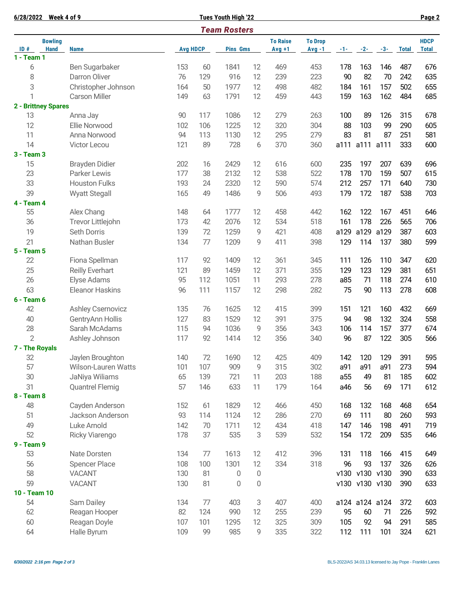|                     | 6/28/2022 Week 4 of 9 |                            |                 |     | <b>Tues Youth High '22</b> |                 |                |          |       |                |       | Page 2       |              |
|---------------------|-----------------------|----------------------------|-----------------|-----|----------------------------|-----------------|----------------|----------|-------|----------------|-------|--------------|--------------|
|                     |                       |                            |                 |     | <b>Team Rosters</b>        |                 |                |          |       |                |       |              |              |
|                     | <b>Bowling</b>        |                            |                 |     |                            | <b>To Raise</b> | <b>To Drop</b> |          |       |                |       | <b>HDCP</b>  |              |
| ID#<br>$1 - Team 1$ | <b>Hand</b>           | <b>Name</b>                | <b>Avg HDCP</b> |     | <b>Pins Gms</b>            |                 | $Avg +1$       | $Avg -1$ | $-1-$ | $-2-$          | $-3-$ | <b>Total</b> | <b>Total</b> |
| 6                   |                       | Ben Sugarbaker             | 153             | 60  | 1841                       | 12              | 469            | 453      | 178   | 163            | 146   | 487          | 676          |
| 8                   |                       | Darron Oliver              | 76              | 129 | 916                        | 12              | 239            | 223      | 90    | 82             | 70    | 242          | 635          |
| 3                   |                       | Christopher Johnson        | 164             | 50  | 1977                       | 12              | 498            | 482      | 184   | 161            | 157   | 502          | 655          |
| 1                   |                       | <b>Carson Miller</b>       | 149             | 63  | 1791                       | 12              | 459            | 443      | 159   | 163            | 162   | 484          | 685          |
|                     | 2 - Brittney Spares   |                            |                 |     |                            |                 |                |          |       |                |       |              |              |
| 13                  |                       | Anna Jay                   | 90              | 117 | 1086                       | 12              | 279            | 263      | 100   | 89             | 126   | 315          | 678          |
| 12                  |                       | Ellie Norwood              | 102             | 106 | 1225                       | 12              | 320            | 304      | 88    | 103            | 99    | 290          | 605          |
| 11                  |                       | Anna Norwood               | 94              | 113 | 1130                       | 12              | 295            | 279      | 83    | 81             | 87    | 251          | 581          |
| 14                  |                       | Victor Lecou               | 121             | 89  | 728                        | 6               | 370            | 360      | a111  | a111           | a111  | 333          | 600          |
| 3 - Team 3          |                       |                            |                 |     |                            |                 |                |          |       |                |       |              |              |
| 15                  |                       | <b>Brayden Didier</b>      | 202             | 16  | 2429                       | 12              | 616            | 600      | 235   | 197            | 207   | 639          | 696          |
| 23                  |                       | Parker Lewis               | 177             | 38  | 2132                       | 12              | 538            | 522      | 178   | 170            | 159   | 507          | 615          |
| 33                  |                       | <b>Houston Fulks</b>       | 193             | 24  | 2320                       | 12              | 590            | 574      | 212   | 257            | 171   | 640          | 730          |
| 39                  |                       | <b>Wyatt Stegall</b>       | 165             | 49  | 1486                       | 9               | 506            | 493      | 179   | 172            | 187   | 538          | 703          |
| 4 - Team 4          |                       |                            |                 |     |                            |                 |                |          |       |                |       |              |              |
| 55                  |                       | Alex Chang                 | 148             | 64  | 1777                       | 12              | 458            | 442      | 162   | 122            | 167   | 451          | 646          |
| 36                  |                       | Trevor Littlejohn          | 173             | 42  | 2076                       | 12              | 534            | 518      | 161   | 178            | 226   | 565          | 706          |
| 19                  |                       | Seth Dorris                | 139             | 72  | 1259                       | 9               | 421            | 408      | a129  | a129           | a129  | 387          | 603          |
| 21                  |                       | Nathan Busler              | 134             | 77  | 1209                       | 9               | 411            | 398      | 129   | 114            | 137   | 380          | 599          |
| 5 - Team 5          |                       |                            |                 |     |                            |                 |                |          |       |                |       |              |              |
| 22                  |                       | Fiona Spellman             | 117             | 92  | 1409                       | 12              | 361            | 345      | 111   | 126            | 110   | 347          | 620          |
| 25                  |                       | Reilly Everhart            | 121             | 89  | 1459                       | 12              | 371            | 355      | 129   | 123            | 129   | 381          | 651          |
| 26                  |                       | Elyse Adams                | 95              | 112 | 1051                       | 11              | 293            | 278      | a85   | 71             | 118   | 274          | 610          |
| 63                  |                       | <b>Eleanor Haskins</b>     | 96              | 111 | 1157                       | 12              | 298            | 282      | 75    | 90             | 113   | 278          | 608          |
| 6 - Team 6          |                       |                            |                 |     |                            |                 |                |          |       |                |       |              |              |
| 42                  |                       | <b>Ashley Csernovicz</b>   | 135             | 76  | 1625                       | 12              | 415            | 399      | 151   | 121            | 160   | 432          | 669          |
| 40                  |                       | GentryAnn Hollis           | 127             | 83  | 1529                       | 12              | 391            | 375      | 94    | 98             | 132   | 324          | 558          |
| 28                  |                       | Sarah McAdams              | 115             | 94  | 1036                       | 9               | 356            | 343      | 106   | 114            | 157   | 377          | 674          |
| $\overline{2}$      |                       | Ashley Johnson             | 117             | 92  | 1414                       | 12              | 356            | 340      | 96    | 87             | 122   | 305          | 566          |
|                     | 7 - The Royals        |                            |                 |     |                            |                 |                |          |       |                |       |              |              |
| 32                  |                       | Jaylen Broughton           | 140             | 72  | 1690                       | 12              | 425            | 409      | 142   | 120            | 129   | 391          | 595          |
| 57                  |                       | <b>Wilson-Lauren Watts</b> | 101             | 107 | 909                        | 9               | 315            | 302      | a91   | a91            | a91   | 273          | 594          |
| 30                  |                       | JaNiya Wiliams             | 65              | 139 | 721                        | 11              | 203            | 188      | a55   | 49             | 81    | 185          | 602          |
| 31                  |                       | <b>Quantrel Flemig</b>     | 57              | 146 | 633                        | 11              | 179            | 164      | a46   | 56             | 69    | 171          | 612          |
| 8 - Team 8          |                       |                            |                 |     |                            |                 |                |          |       |                |       |              |              |
| 48                  |                       | Cayden Anderson            | 152             | 61  | 1829                       | 12              | 466            | 450      | 168   | 132            | 168   | 468          | 654          |
| 51                  |                       | Jackson Anderson           | 93              | 114 | 1124                       | 12              | 286            | 270      | 69    | 111            | 80    | 260          | 593          |
| 49                  |                       | Luke Arnold                | 142             | 70  | 1711                       | 12              | 434            | 418      | 147   | 146            | 198   | 491          | 719          |
| 52                  |                       | Ricky Viarengo             | 178             | 37  | 535                        | 3               | 539            | 532      | 154   | 172            | 209   | 535          | 646          |
| 9 - Team 9          |                       |                            |                 |     |                            |                 |                |          |       |                |       |              |              |
| 53                  |                       | Nate Dorsten               | 134             | 77  | 1613                       | 12              | 412            | 396      | 131   | 118            | 166   | 415          | 649          |
| 56                  |                       | <b>Spencer Place</b>       | 108             | 100 | 1301                       | 12              | 334            | 318      | 96    | 93             | 137   | 326          | 626          |
| 58                  |                       | <b>VACANT</b>              | 130             | 81  | 0                          | 0               |                |          |       | v130 v130      | v130  | 390          | 633          |
| 59                  |                       | <b>VACANT</b>              | 130             | 81  | 0                          | 0               |                |          |       | v130 v130 v130 |       | 390          | 633          |
| 10 - Team 10        |                       |                            |                 |     |                            |                 |                |          |       |                |       |              |              |
| 54                  |                       | Sam Dailey                 | 134             | 77  | 403                        | 3               | 407            | 400      |       | a124 a124 a124 |       | 372          | 603          |
| 62                  |                       | Reagan Hooper              | 82              | 124 | 990                        | 12              | 255            | 239      | 95    | 60             | 71    | 226          | 592          |
| 60                  |                       | Reagan Doyle               | 107             | 101 | 1295                       | 12              | 325            | 309      | 105   | 92             | 94    | 291          | 585          |
| 64                  |                       | Halle Byrum                | 109             | 99  | 985                        | 9               | 335            | 322      | 112   | 111            | 101   | 324          | 621          |
|                     |                       |                            |                 |     |                            |                 |                |          |       |                |       |              |              |